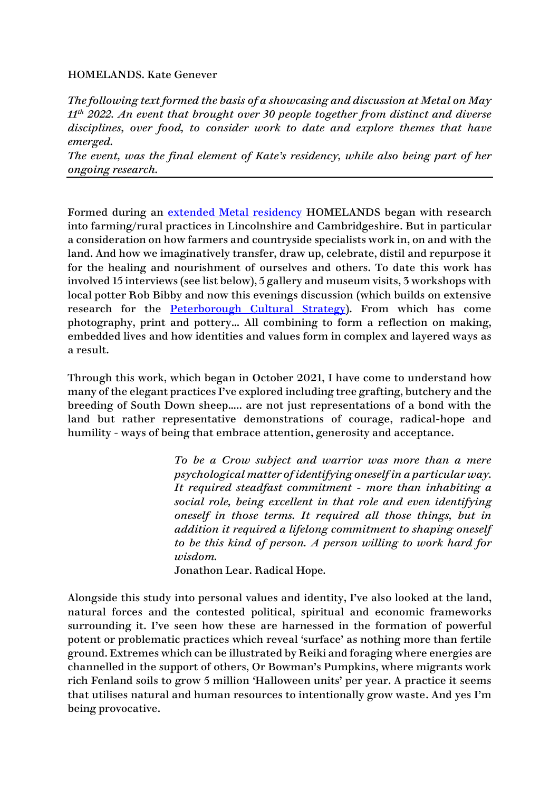## HOMELANDS. Kate Genever

*The following text formed the basis of a showcasing and discussion at Metal on May 11th 2022. An event that brought over 30 people together from distinct and diverse disciplines, over food, to consider work to date and explore themes that have emerged.*

*The event, was the final element of Kate's residency, while also being part of her ongoing research.*

Formed during an [extended Metal residency](https://www.kategenever.com/metal-residency/) HOMELANDS began with research into farming/rural practices in Lincolnshire and Cambridgeshire. But in particular a consideration on how farmers and countryside specialists work in, on and with the land. And how we imaginatively transfer, draw up, celebrate, distil and repurpose it for the healing and nourishment of ourselves and others. To date this work has involved 15 interviews (see list below), 5 gallery and museum visits, 3 workshops with local potter Rob Bibby and now this evenings discussion (which builds on extensive research for the **Peterborough Cultural Strategy**). From which has come photography, print and pottery… All combining to form a reflection on making, embedded lives and how identities and values form in complex and layered ways as a result.

Through this work, which began in October 2021, I have come to understand how many of the elegant practices I've explored including tree grafting, butchery and the breeding of South Down sheep….. are not just representations of a bond with the land but rather representative demonstrations of courage, radical-hope and humility - ways of being that embrace attention, generosity and acceptance.

> *To be a Crow subject and warrior was more than a mere psychological matter of identifying oneself in a particular way. It required steadfast commitment - more than inhabiting a social role, being excellent in that role and even identifying oneself in those terms. It required all those things, but in addition it required a lifelong commitment to shaping oneself to be this kind of person. A person willing to work hard for wisdom.*

Jonathon Lear. Radical Hope*.*

Alongside this study into personal values and identity, I've also looked at the land, natural forces and the contested political, spiritual and economic frameworks surrounding it. I've seen how these are harnessed in the formation of powerful potent or problematic practices which reveal 'surface' as nothing more than fertile ground. Extremes which can be illustrated by Reiki and foraging where energies are channelled in the support of others, Or Bowman's Pumpkins, where migrants work rich Fenland soils to grow 5 million 'Halloween units' per year. A practice it seems that utilises natural and human resources to intentionally grow waste. And yes I'm being provocative.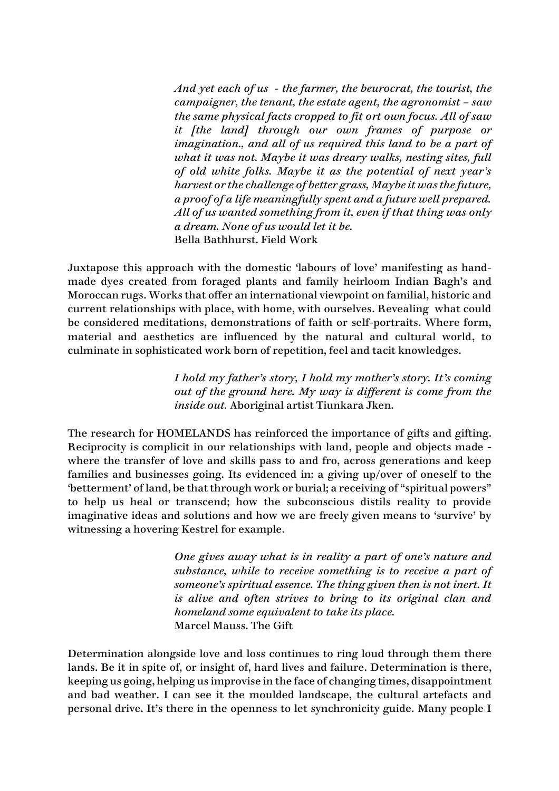*And yet each of us - the farmer, the beurocrat, the tourist, the campaigner, the tenant, the estate agent, the agronomist – saw the same physical facts cropped to fit ort own focus. All of saw it [the land] through our own frames of purpose or imagination., and all of us required this land to be a part of what it was not. Maybe it was dreary walks, nesting sites, full of old white folks. Maybe it as the potential of next year's harvest or the challenge of better grass, Maybe it was the future, a proof of a life meaningfully spent and a future well prepared. All of us wanted something from it, even if that thing was only a dream. None of us would let it be.* Bella Bathhurst. Field Work

Juxtapose this approach with the domestic 'labours of love' manifesting as handmade dyes created from foraged plants and family heirloom Indian Bagh's and Moroccan rugs. Works that offer an international viewpoint on familial, historic and current relationships with place, with home, with ourselves. Revealing what could be considered meditations, demonstrations of faith or self-portraits. Where form, material and aesthetics are influenced by the natural and cultural world, to culminate in sophisticated work born of repetition, feel and tacit knowledges.

> *I hold my father's story, I hold my mother's story. It's coming out of the ground here. My way is different is come from the inside out.* Aboriginal artist Tiunkara Jken.

The research for HOMELANDS has reinforced the importance of gifts and gifting. Reciprocity is complicit in our relationships with land, people and objects made where the transfer of love and skills pass to and fro, across generations and keep families and businesses going. Its evidenced in: a giving up/over of oneself to the 'betterment' of land, be that through work or burial; a receiving of "spiritual powers" to help us heal or transcend; how the subconscious distils reality to provide imaginative ideas and solutions and how we are freely given means to 'survive' by witnessing a hovering Kestrel for example.

> *One gives away what is in reality a part of one's nature and substance, while to receive something is to receive a part of someone's spiritual essence. The thing given then is not inert. It is alive and often strives to bring to its original clan and homeland some equivalent to take its place.* Marcel Mauss. The Gift

Determination alongside love and loss continues to ring loud through them there lands. Be it in spite of, or insight of, hard lives and failure. Determination is there, keeping us going, helping us improvise in the face of changing times, disappointment and bad weather. I can see it the moulded landscape, the cultural artefacts and personal drive. It's there in the openness to let synchronicity guide. Many people I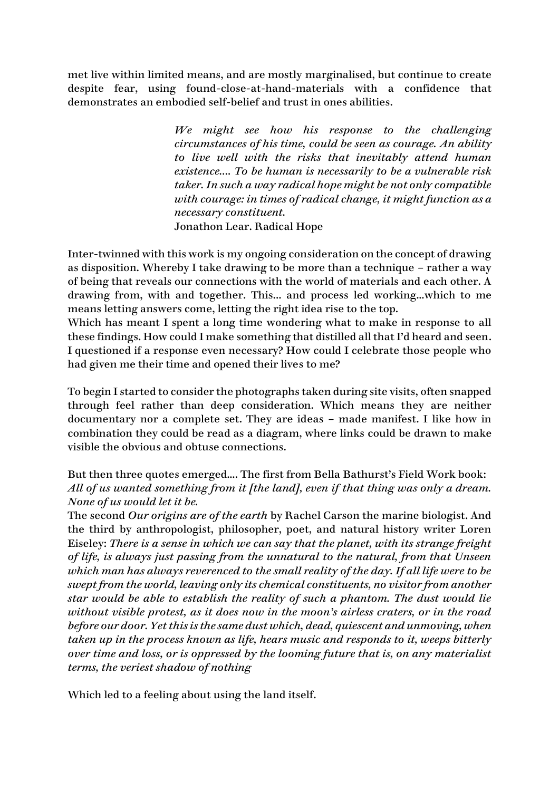met live within limited means, and are mostly marginalised, but continue to create despite fear, using found-close-at-hand-materials with a confidence that demonstrates an embodied self-belief and trust in ones abilities.

> *We might see how his response to the challenging circumstances of his time, could be seen as courage. An ability to live well with the risks that inevitably attend human existence…. To be human is necessarily to be a vulnerable risk taker. In such a way radical hope might be not only compatible with courage: in times of radical change, it might function as a necessary constituent.* Jonathon Lear. Radical Hope

Inter-twinned with this work is my ongoing consideration on the concept of drawing as disposition. Whereby I take drawing to be more than a technique – rather a way of being that reveals our connections with the world of materials and each other. A drawing from, with and together. This... and process led working…which to me means letting answers come, letting the right idea rise to the top.

Which has meant I spent a long time wondering what to make in response to all these findings. How could I make something that distilled all that I'd heard and seen. I questioned if a response even necessary? How could I celebrate those people who had given me their time and opened their lives to me?

To begin I started to consider the photographs taken during site visits, often snapped through feel rather than deep consideration. Which means they are neither documentary nor a complete set. They are ideas – made manifest. I like how in combination they could be read as a diagram, where links could be drawn to make visible the obvious and obtuse connections.

But then three quotes emerged…. The first from Bella Bathurst's Field Work book: *All of us wanted something from it [the land], even if that thing was only a dream. None of us would let it be.*

The second *Our origins are of the earth* by Rachel Carson the marine biologist. And the third by anthropologist, philosopher, poet, and natural history writer Loren Eiseley: *There is a sense in which we can say that the planet, with its strange freight of life, is always just passing from the unnatural to the natural, from that Unseen which man has always reverenced to the small reality of the day. If all life were to be swept from the world, leaving only its chemical constituents, no visitor from another star would be able to establish the reality of such a phantom. The dust would lie without visible protest, as it does now in the moon's airless craters, or in the road before our door. Yet this is the same dust which, dead, quiescent and unmoving, when taken up in the process known as life, hears music and responds to it, weeps bitterly over time and loss, or is oppressed by the looming future that is, on any materialist terms, the veriest shadow of nothing*

Which led to a feeling about using the land itself.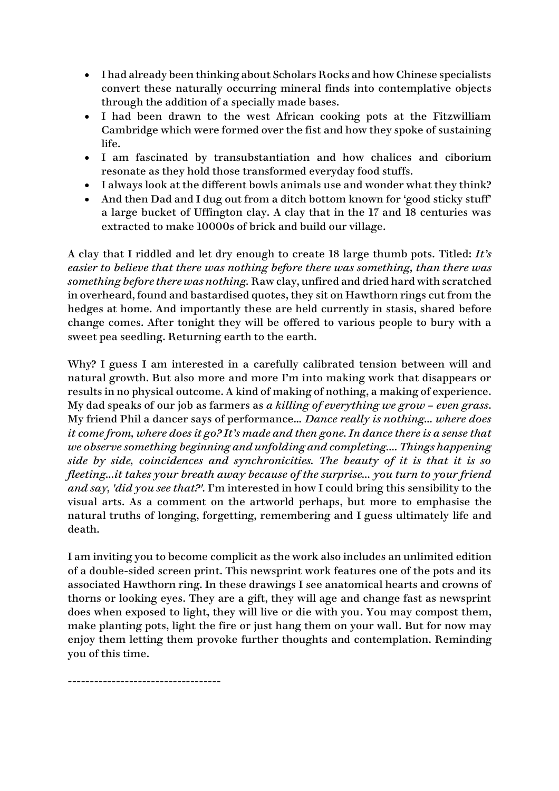- I had already been thinking about Scholars Rocks and how Chinese specialists convert these naturally occurring mineral finds into contemplative objects through the addition of a specially made bases.
- I had been drawn to the west African cooking pots at the Fitzwilliam Cambridge which were formed over the fist and how they spoke of sustaining life.
- I am fascinated by transubstantiation and how chalices and ciborium resonate as they hold those transformed everyday food stuffs.
- I always look at the different bowls animals use and wonder what they think?
- And then Dad and I dug out from a ditch bottom known for 'good sticky stuff' a large bucket of Uffington clay. A clay that in the 17 and 18 centuries was extracted to make 10000s of brick and build our village.

A clay that I riddled and let dry enough to create 18 large thumb pots. Titled: *It's easier to believe that there was nothing before there was something, than there was something before there was nothing.* Raw clay, unfired and dried hard with scratched in overheard, found and bastardised quotes, they sit on Hawthorn rings cut from the hedges at home. And importantly these are held currently in stasis, shared before change comes. After tonight they will be offered to various people to bury with a sweet pea seedling. Returning earth to the earth.

Why? I guess I am interested in a carefully calibrated tension between will and natural growth. But also more and more I'm into making work that disappears or results in no physical outcome. A kind of making of nothing, a making of experience. My dad speaks of our job as farmers as *a killing of everything we grow – even grass*. My friend Phil a dancer says of performance… *Dance really is nothing... where does it come from, where does it go? It's made and then gone. In dance there is a sense that we observe something beginning and unfolding and completing.... Things happening side by side, coincidences and synchronicities. The beauty of it is that it is so fleeting...it takes your breath away because of the surprise... you turn to your friend and say, 'did you see that?'.* I'm interested in how I could bring this sensibility to the visual arts. As a comment on the artworld perhaps, but more to emphasise the natural truths of longing, forgetting, remembering and I guess ultimately life and death.

I am inviting you to become complicit as the work also includes an unlimited edition of a double-sided screen print. This newsprint work features one of the pots and its associated Hawthorn ring. In these drawings I see anatomical hearts and crowns of thorns or looking eyes. They are a gift, they will age and change fast as newsprint does when exposed to light, they will live or die with you. You may compost them, make planting pots, light the fire or just hang them on your wall. But for now may enjoy them letting them provoke further thoughts and contemplation. Reminding you of this time.

-----------------------------------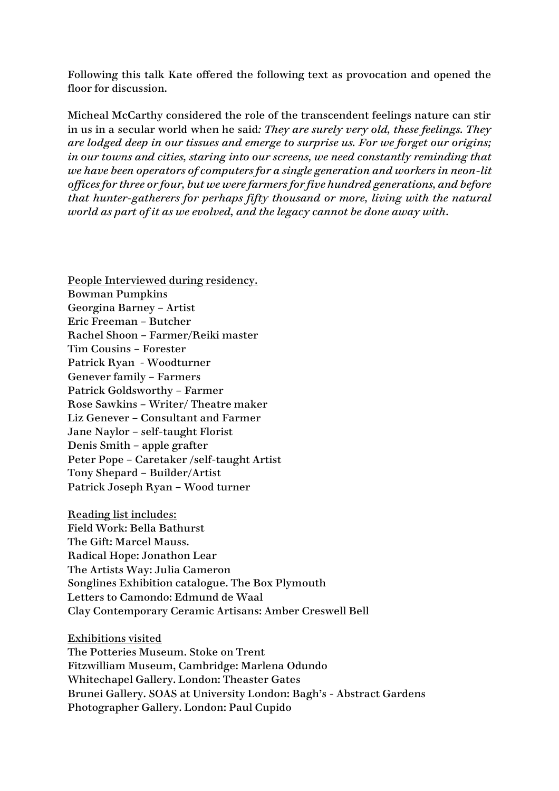Following this talk Kate offered the following text as provocation and opened the floor for discussion.

Micheal McCarthy considered the role of the transcendent feelings nature can stir in us in a secular world when he said*: They are surely very old, these feelings. They are lodged deep in our tissues and emerge to surprise us. For we forget our origins; in our towns and cities, staring into our screens, we need constantly reminding that we have been operators of computers for a single generation and workers in neon-lit offices for three or four, but we were farmers for five hundred generations, and before that hunter-gatherers for perhaps fifty thousand or more, living with the natural world as part of it as we evolved, and the legacy cannot be done away with.*

People Interviewed during residency. Bowman Pumpkins Georgina Barney – Artist Eric Freeman – Butcher Rachel Shoon – Farmer/Reiki master Tim Cousins – Forester Patrick Ryan - Woodturner Genever family – Farmers Patrick Goldsworthy – Farmer Rose Sawkins – Writer/ Theatre maker Liz Genever – Consultant and Farmer Jane Naylor – self-taught Florist Denis Smith – apple grafter Peter Pope – Caretaker /self-taught Artist Tony Shepard – Builder/Artist Patrick Joseph Ryan – Wood turner

Reading list includes: Field Work: Bella Bathurst The Gift: Marcel Mauss. Radical Hope: Jonathon Lear The Artists Way: Julia Cameron Songlines Exhibition catalogue. The Box Plymouth Letters to Camondo: Edmund de Waal Clay Contemporary Ceramic Artisans: Amber Creswell Bell

Exhibitions visited The Potteries Museum. Stoke on Trent Fitzwilliam Museum, Cambridge: Marlena Odundo Whitechapel Gallery. London: Theaster Gates Brunei Gallery. SOAS at University London: Bagh's - Abstract Gardens Photographer Gallery. London: Paul Cupido